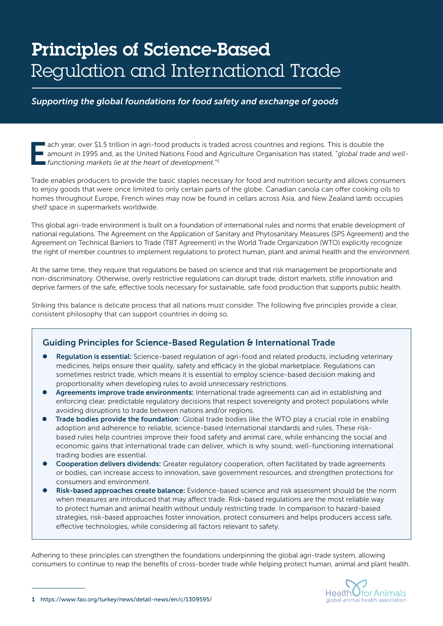# Principles of Science-Based Regulation and International Trade

*Supporting the global foundations for food safety and exchange of goods*

ach year, over \$1.5 trillion in agri-food products is traded across countries and regions. This is double the<br>amount in 1995 and, as the United Nations Food and Agriculture Organisation has stated, "global trade and<br>functi amount in 1995 and, as the United Nations Food and Agriculture Organisation has stated, "*global trade and wellfunctioning markets lie at the heart of development.*" 1

Trade enables producers to provide the basic staples necessary for food and nutrition security and allows consumers to enjoy goods that were once limited to only certain parts of the globe. Canadian canola can offer cooking oils to homes throughout Europe, French wines may now be found in cellars across Asia, and New Zealand lamb occupies shelf space in supermarkets worldwide.

This global agri-trade environment is built on a foundation of international rules and norms that enable development of national regulations. The Agreement on the Application of Sanitary and Phytosanitary Measures (SPS Agreement) and the Agreement on Technical Barriers to Trade (TBT Agreement) in the World Trade Organization (WTO) explicitly recognize the right of member countries to implement regulations to protect human, plant and animal health and the environment.

At the same time, they require that regulations be based on science and that risk management be proportionate and non-discriminatory. Otherwise, overly restrictive regulations can disrupt trade, distort markets, stifle innovation and deprive farmers of the safe, effective tools necessary for sustainable, safe food production that supports public health.

Striking this balance is delicate process that all nations must consider. The following five principles provide a clear, consistent philosophy that can support countries in doing so.

### Guiding Principles for Science-Based Regulation & International Trade

- Regulation is essential: Science-based regulation of agri-food and related products, including veterinary medicines, helps ensure their quality, safety and efficacy in the global marketplace. Regulations can sometimes restrict trade, which means it is essential to employ science-based decision making and proportionality when developing rules to avoid unnecessary restrictions.
- Agreements improve trade environments: International trade agreements can aid in establishing and enforcing clear, predictable regulatory decisions that respect sovereignty and protect populations while avoiding disruptions to trade between nations and/or regions.
- Trade bodies provide the foundation: Global trade bodies like the WTO play a crucial role in enabling adoption and adherence to reliable, science-based international standards and rules. These riskbased rules help countries improve their food safety and animal care, while enhancing the social and economic gains that international trade can deliver, which is why sound, well-functioning international trading bodies are essential.
- Cooperation delivers dividends: Greater regulatory cooperation, often facilitated by trade agreements or bodies, can increase access to innovation, save government resources, and strengthen protections for consumers and environment.
- Risk-based approaches create balance: Evidence-based science and risk assessment should be the norm when measures are introduced that may affect trade. Risk-based regulations are the most reliable way to protect human and animal health without unduly restricting trade. In comparison to hazard-based strategies, risk-based approaches foster innovation, protect consumers and helps producers access safe, effective technologies, while considering all factors relevant to safety.

Adhering to these principles can strengthen the foundations underpinning the global agri-trade system, allowing consumers to continue to reap the benefits of cross-border trade while helping protect human, animal and plant health.